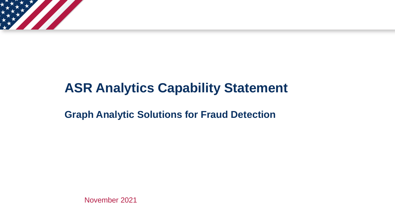

# **ASR Analytics Capability Statement**

## **Graph Analytic Solutions for Fraud Detection**

November 2021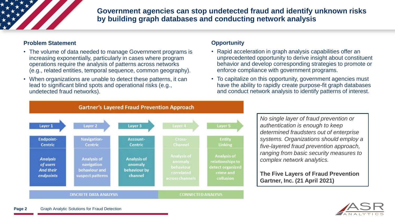

## **Government agencies can stop undetected fraud and identify unknown risks by building graph databases and conducting network analysis**

### **Problem Statement**

- The volume of data needed to manage Government programs is increasing exponentially, particularly in cases where program operations require the analysis of patterns across networks (e.g., related entities, temporal sequence, common geography).
- When organizations are unable to detect these patterns, it can lead to significant blind spots and operational risks (e.g., undetected fraud networks).

### **Opportunity**

- Rapid acceleration in graph analysis capabilities offer an unprecedented opportunity to derive insight about constituent behavior and develop corresponding strategies to promote or enforce compliance with government programs.
- To capitalize on this opportunity, government agencies must have the ability to rapidly create purpose-fit graph databases and conduct network analysis to identify patterns of interest.



*No single layer of fraud prevention or authentication is enough to keep determined fraudsters out of enterprise systems. Organizations should employ a five-layered fraud prevention approach, ranging from basic security measures to complex network analytics.* 

**The Five Layers of Fraud Prevention Gartner, Inc. (21 April 2021)**

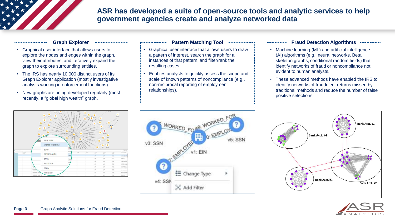

### **ASR has developed a suite of open-source tools and analytic services to help government agencies create and analyze networked data**

#### **Graph Explorer**

- Graphical user interface that allows users to explore the nodes and edges within the graph, view their attributes, and iteratively expand the graph to explore surrounding entities.
- The IRS has nearly 10,000 distinct users of its Graph Explorer application (mostly investigative analysts working in enforcement functions).
- New graphs are being developed regularly (most recently, a "global high wealth" graph.



#### **Pattern Matching Tool**

- Graphical user interface that allows users to draw a pattern of interest, search the graph for all instances of that pattern, and filter/rank the resulting cases.
- Enables analysts to quickly assess the scope and scale of known patterns of noncompliance (e.g., non-reciprocal reporting of employment relationships).

#### **Fraud Detection Algorithms**

- Machine learning (ML) and artificial intelligence (AI) algorithms (e.g., neural networks, Beta skeleton graphs, conditional random fields) that identify networks of fraud or noncompliance not evident to human analysts.
- These advanced methods have enabled the IRS to identify networks of fraudulent returns missed by traditional methods and reduce the number of false positive selections.





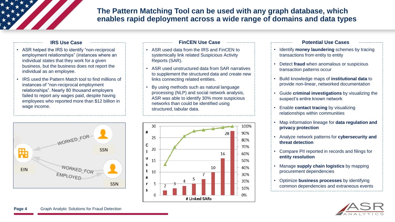

## **The Pattern Matching Tool can be used with any graph database, which enables rapid deployment across a wide range of domains and data types**

- ASR helped the IRS to identify "non-reciprocal employment relationships" (instances where an individual states that they work for a given business, but the business does not report the individual as an employee.
- IRS used the Pattern Match tool to find millions of instances of "non-reciprocal employment relationships". Nearly 80 thousand employers failed to report any wages paid, despite having employees who reported more than \$12 billion in wage income.



#### **IRS Use Case <b>FINCEN** Use Case **FINCEN** Use Case

- ASR used data from the IRS and FinCEN to systemically link related Suspicious Activity Reports (SAR).
- ASR used unstructured data from SAR narratives to supplement the structured data and create new links connecting related entities.
- By using methods such as natural language processing (NLP) and social network analysis, ASR was able to identify 30% more suspicious networks than could be identified using structured, tabular data.



#### **Potential Use Cases**

- Identify **money laundering** schemes by tracing transactions from entity to entity
- Detect **fraud** when anomalous or suspicious transaction patterns occur
- Build knowledge maps of **institutional data** to provide non-linear, networked documentation
- Guide **criminal investigations** by visualizing the suspect's entire known network
- Enable **contact tracing** by visualizing relationships within communities
- Map information lineage for **data regulation and privacy protection**
- Analyze network patterns for **cybersecurity and threat detection**
- Compare PII reported in records and filings for **entity resolution**
- Manage **supply chain logistics** by mapping procurement dependencies
- Optimize **business processes** by identifying common dependencies and extraneous events

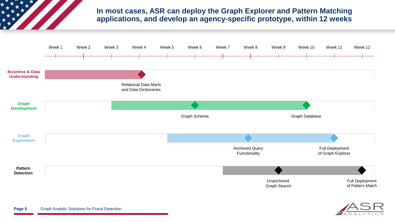

## **In most cases, ASR can deploy the Graph Explorer and Pattern Matching applications, and develop an agency-specific prototype, within 12 weeks**